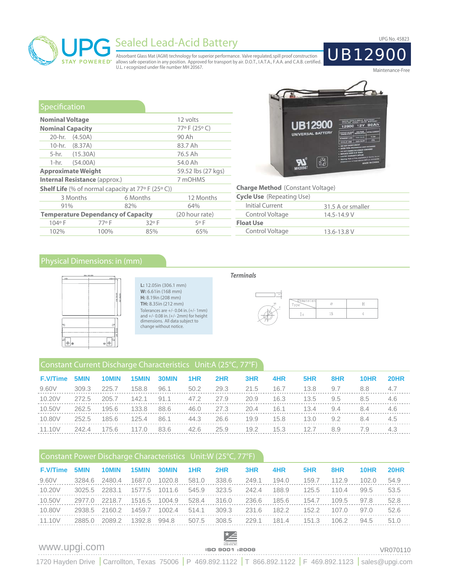

# Sealed Lead-Acid Battery<br>Absorbant Glass Mat (AGM) technology for superior performance. Valve regulated, spill proof construction<br>
UB12900

Absorbant Glass Mat (AGM) technology for superior performance. Valve regulated, spill proof construction<br>allows safe operation in any position. Approved for transport by air. D.O.T., I.A.T.A., F.A.A. and C.A.B. certified.<br>

| Specification           |                                           |                                                             |                    |  |  |  |
|-------------------------|-------------------------------------------|-------------------------------------------------------------|--------------------|--|--|--|
| <b>Nominal Voltage</b>  |                                           |                                                             | 12 volts           |  |  |  |
| <b>Nominal Capacity</b> |                                           |                                                             | 77°F (25°C)        |  |  |  |
|                         | 20-hr. (4.50A)                            |                                                             | 90 Ah              |  |  |  |
|                         | 10-hr. (8.37A)                            |                                                             | 83.7 Ah            |  |  |  |
|                         | 5-hr. (15.30A)                            |                                                             | 76.5 Ah            |  |  |  |
| 1-hr. –                 | (54.00A)                                  |                                                             | 54.0 Ah            |  |  |  |
|                         | <b>Approximate Weight</b>                 |                                                             | 59.52 lbs (27 kgs) |  |  |  |
|                         | <b>Internal Resistance (approx.)</b>      |                                                             | 7 mOHMS            |  |  |  |
|                         |                                           | <b>Shelf Life</b> (% of normal capacity at $77°$ F (25° C)) |                    |  |  |  |
|                         | 3 Months                                  | 6 Months                                                    | 12 Months          |  |  |  |
| 91%                     |                                           | 82%                                                         | 64%                |  |  |  |
|                         | <b>Temperature Dependancy of Capacity</b> | (20 hour rate)                                              |                    |  |  |  |
| 104°F                   | 77°F                                      | 32°F                                                        | 5°F                |  |  |  |
| 102%                    | 100%                                      | 85%                                                         | 65%                |  |  |  |



**Charge Method**  (Constant Voltage)

| <b>Cycle Use</b> (Repeating Use) |                   |
|----------------------------------|-------------------|
| Initial Current                  | 31.5 A or smaller |
| Control Voltage                  | $14.5 - 14.9 V$   |
| <b>Float Use</b>                 |                   |
| Control Voltage                  | 13.6-13.8 V       |
|                                  |                   |

# Physical Dimensions: in (mm)



**L:** 12.05in (306.1 mm) **W:** 6.61in (168 mm) **H:** 8.19in (208 mm) **TH:** 8.35in (212 mm) Tolerances are +/- 0.04 in. (+/- 1mm) and +/- 0.08 in. (+/- 2mm) for height dimensions. All data subject to change without notice.

#### *Terminals*



## Constant Current Discharge Characteristics Unit:A (25°C, 77°F)

| <b>F.V/Time</b> | 5MIN  | 10MIN | 15MIN | 30MIN | 1HR  | 2HR  | 3HR  | 4HR  | 5HR  | 8HR           | 10HR | <b>20HR</b> |
|-----------------|-------|-------|-------|-------|------|------|------|------|------|---------------|------|-------------|
| 9.60V           | 309.3 | 225.7 | 158.8 | 96.1  | 50.2 | 29.3 | 21.5 | 16.7 | 13.8 | 9.7           | 8.8  | 4.7         |
| 10.20V          | 272.5 | 205.7 | 142.1 | 91.1  | 47.2 | 27.9 | 20.9 | 16.3 | 13.5 | $9.5^{\circ}$ | 8.5  | 4.6         |
| 10.50V          | 262.5 | 195.6 | 133.8 | 88.6  | 46.0 | 27.3 | 20.4 | 16.1 | 13.4 | 9.4           | 8.4  | 4.6         |
| 10.80V          | 252.5 | 185.6 | 125.4 | 86.1  | 44.3 | 26.6 | 19.9 | 15.8 | 13.0 | 9.2           | 8.4  | 4.5         |
| 11.10V          | 242.4 | 175.6 | 117.0 | 83.6  | 42.6 | 25.9 | 19.2 | 15.3 | 12.7 | 8.9           | 7.9  | 4.3         |

## Constant Power Discharge Characteristics Unit:W (25°C, 77°F)

| <b>F.V/Time</b> | 5MIN.  | 10MIN  | 15MIN  | 30MIN  | 1HR   | 2HR   | 3HR   | 4HR   | 5HR   | 8HR   | 10HR  | <b>20HR</b> |
|-----------------|--------|--------|--------|--------|-------|-------|-------|-------|-------|-------|-------|-------------|
| 9.60V           | 3284.6 | 2480.4 | 1687.0 | 1020.8 | 581.0 | 338.6 | 249.1 | 194.0 | 159.7 | 112.9 | 102.0 | 54.9        |
| 10.20V          | 3025.5 | 2283.1 | 1577.5 | 1011.6 | 545.9 | 323.5 | 242.4 | 188.9 | 125.5 | 110.4 | 99.5  | 53.5        |
| 10.50V          | 2977.0 | 2218.7 | 1516.5 | 1004.9 | 528.4 | 316.0 | 236.6 | 185.6 | 154.7 | 109.5 | 97.8  | 52.8        |
| 10.80V          | 2938.5 | 2160.2 | 1459.7 | 1002.4 | 514.1 | 309.3 | 231.6 | 182.2 | 152.2 | 107.0 | 97.0  | 52.6        |
| 11.10V          | 2885.0 | 2089.2 | 1392.8 | 994.8  | 507.5 | 308.5 | 229.1 | 181.4 | 151.3 | 106.2 | 94.5  | 51.0        |
|                 |        |        |        |        |       |       |       |       |       |       |       |             |



Maintenance-Free